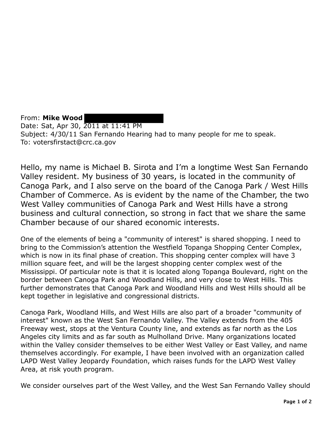From: **Mike Wood**  Date: Sat, Apr 30, 2011 at 11:41 PM Subject: 4/30/11 San Fernando Hearing had to many people for me to speak. To: votersfirstact@crc.ca.gov

Hello, my name is Michael B. Sirota and I'm a longtime West San Fernando Valley resident. My business of 30 years, is located in the community of Canoga Park, and I also serve on the board of the Canoga Park / West Hills Chamber of Commerce. As is evident by the name of the Chamber, the two West Valley communities of Canoga Park and West Hills have a strong business and cultural connection, so strong in fact that we share the same Chamber because of our shared economic interests.

One of the elements of being a "community of interest" is shared shopping. I need to bring to the Commission's attention the Westfield Topanga Shopping Center Complex, which is now in its final phase of creation. This shopping center complex will have 3 million square feet, and will be the largest shopping center complex west of the Mississippi. Of particular note is that it is located along Topanga Boulevard, right on the border between Canoga Park and Woodland Hills, and very close to West Hills. This further demonstrates that Canoga Park and Woodland Hills and West Hills should all be kept together in legislative and congressional districts.

Canoga Park, Woodland Hills, and West Hills are also part of a broader "community of interest" known as the West San Fernando Valley. The Valley extends from the 405 Freeway west, stops at the Ventura County line, and extends as far north as the Los Angeles city limits and as far south as Mulholland Drive. Many organizations located within the Valley consider themselves to be either West Valley or East Valley, and name themselves accordingly. For example, I have been involved with an organization called LAPD West Valley Jeopardy Foundation, which raises funds for the LAPD West Valley Area, at risk youth program.

We consider ourselves part of the West Valley, and the West San Fernando Valley should